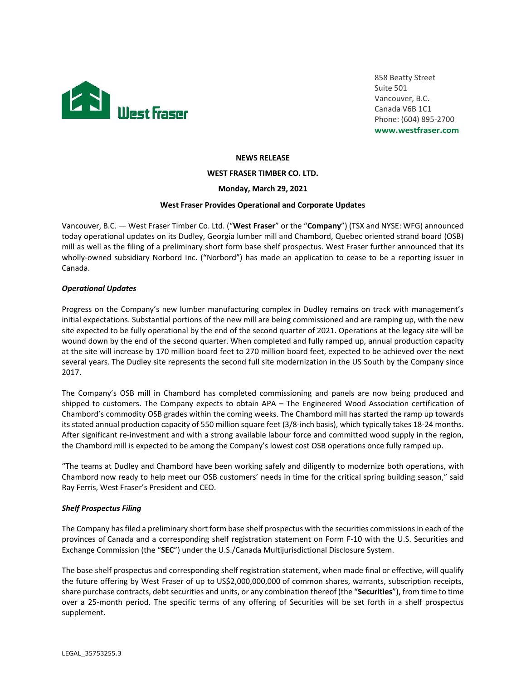

858 Beatty Street Suite 501 Vancouver, B.C. Canada V6B 1C1 Phone: (604) 895-2700 **www.westfraser.com**

#### **NEWS RELEASE**

**WEST FRASER TIMBER CO. LTD.**

**Monday, March 29, 2021**

#### **West Fraser Provides Operational and Corporate Updates**

Vancouver, B.C. — West Fraser Timber Co. Ltd. ("**West Fraser**" or the "**Company**") (TSX and NYSE: WFG) announced today operational updates on its Dudley, Georgia lumber mill and Chambord, Quebec oriented strand board (OSB) mill as well as the filing of a preliminary short form base shelf prospectus. West Fraser further announced that its wholly-owned subsidiary Norbord Inc. ("Norbord") has made an application to cease to be a reporting issuer in Canada.

### *Operational Updates*

Progress on the Company's new lumber manufacturing complex in Dudley remains on track with management's initial expectations. Substantial portions of the new mill are being commissioned and are ramping up, with the new site expected to be fully operational by the end of the second quarter of 2021. Operations at the legacy site will be wound down by the end of the second quarter. When completed and fully ramped up, annual production capacity at the site will increase by 170 million board feet to 270 million board feet, expected to be achieved over the next several years. The Dudley site represents the second full site modernization in the US South by the Company since 2017.

The Company's OSB mill in Chambord has completed commissioning and panels are now being produced and shipped to customers. The Company expects to obtain APA – The Engineered Wood Association certification of Chambord's commodity OSB grades within the coming weeks. The Chambord mill has started the ramp up towards its stated annual production capacity of 550 million square feet (3/8-inch basis), which typically takes 18-24 months. After significant re-investment and with a strong available labour force and committed wood supply in the region, the Chambord mill is expected to be among the Company's lowest cost OSB operations once fully ramped up.

"The teams at Dudley and Chambord have been working safely and diligently to modernize both operations, with Chambord now ready to help meet our OSB customers' needs in time for the critical spring building season," said Ray Ferris, West Fraser's President and CEO.

### *Shelf Prospectus Filing*

The Company has filed a preliminary short form base shelf prospectus with the securities commissions in each of the provinces of Canada and a corresponding shelf registration statement on Form F-10 with the U.S. Securities and Exchange Commission (the "**SEC**") under the U.S./Canada Multijurisdictional Disclosure System.

The base shelf prospectus and corresponding shelf registration statement, when made final or effective, will qualify the future offering by West Fraser of up to US\$2,000,000,000 of common shares, warrants, subscription receipts, share purchase contracts, debt securities and units, or any combination thereof (the "**Securities**"), from time to time over a 25-month period. The specific terms of any offering of Securities will be set forth in a shelf prospectus supplement.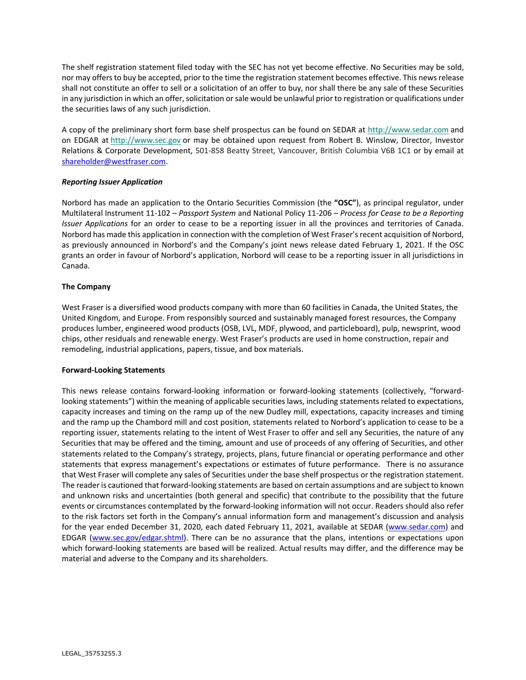The shelf registration statement filed today with the SEC has not yet become effective. No Securities may be sold, nor may offers to buy be accepted, prior to the time the registration statement becomes effective. This news release shall not constitute an offer to sell or a solicitation of an offer to buy, nor shall there be any sale of these Securities in any jurisdiction in which an offer, solicitation or sale would be unlawful prior to registration or qualifications under the securities laws of any such jurisdiction.

A copy of the preliminary short form base shelf prospectus can be found on SEDAR at [http://www.sedar.com](http://www.sedar.com/) and on EDGAR at [http://www.sec.gov](http://www.sec.gov/) or may be obtained upon request from Robert B. Winslow, Director, Investor Relations & Corporate Development, 501-858 Beatty Street, Vancouver, British Columbia V6B 1C1 or by email at [shareholder@westfraser.com.](mailto:shareholder@westfraser.com)

## *Reporting Issuer Application*

Norbord has made an application to the Ontario Securities Commission (the **"OSC"**), as principal regulator, under Multilateral Instrument 11-102 – *Passport System* and National Policy 11-206 – *Process for Cease to be a Reporting Issuer Applications* for an order to cease to be a reporting issuer in all the provinces and territories of Canada. Norbord has made this application in connection with the completion of West Fraser's recent acquisition of Norbord, as previously announced in Norbord's and the Company's joint news release dated February 1, 2021. If the OSC grants an order in favour of Norbord's application, Norbord will cease to be a reporting issuer in all jurisdictions in Canada.

## **The Company**

West Fraser is a diversified wood products company with more than 60 facilities in Canada, the United States, the United Kingdom, and Europe. From responsibly sourced and sustainably managed forest resources, the Company produces lumber, engineered wood products (OSB, LVL, MDF, plywood, and particleboard), pulp, newsprint, wood chips, other residuals and renewable energy. West Fraser's products are used in home construction, repair and remodeling, industrial applications, papers, tissue, and box materials.

### **Forward-Looking Statements**

This news release contains forward-looking information or forward-looking statements (collectively, "forwardlooking statements") within the meaning of applicable securities laws, including statements related to expectations, capacity increases and timing on the ramp up of the new Dudley mill, expectations, capacity increases and timing and the ramp up the Chambord mill and cost position, statements related to Norbord's application to cease to be a reporting issuer, statements relating to the intent of West Fraser to offer and sell any Securities, the nature of any Securities that may be offered and the timing, amount and use of proceeds of any offering of Securities, and other statements related to the Company's strategy, projects, plans, future financial or operating performance and other statements that express management's expectations or estimates of future performance. There is no assurance that West Fraser will complete any sales of Securities under the base shelf prospectus or the registration statement. The reader is cautioned that forward-looking statements are based on certain assumptions and are subject to known and unknown risks and uncertainties (both general and specific) that contribute to the possibility that the future events or circumstances contemplated by the forward-looking information will not occur. Readers should also refer to the risk factors set forth in the Company's annual information form and management's discussion and analysis for the year ended December 31, 2020, each dated February 11, 2021, available at SEDAR [\(www.sedar.com\)](http://www.sedar.com/) and EDGAR [\(www.sec.gov/edgar.shtml\)](https://www.sec.gov/edgar.shtml). There can be no assurance that the plans, intentions or expectations upon which forward-looking statements are based will be realized. Actual results may differ, and the difference may be material and adverse to the Company and its shareholders.